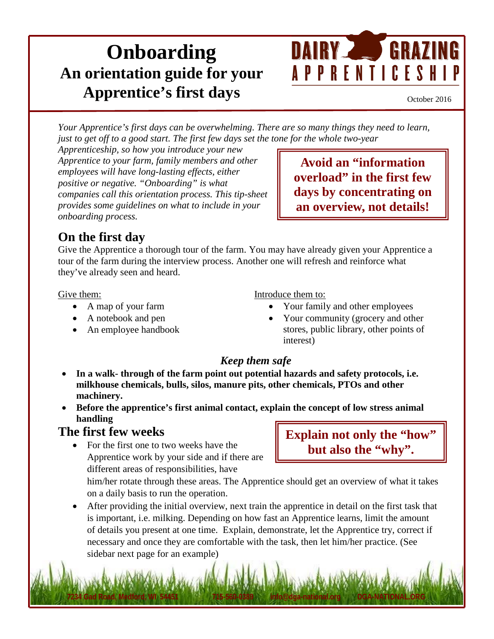# **Onboarding An orientation guide for your Apprentice's first days**



October 2016

*Your Apprentice's first days can be overwhelming. There are so many things they need to learn, just to get off to a good start. The first few days set the tone for the whole two-year* 

*Apprenticeship, so how you introduce your new Apprentice to your farm, family members and other employees will have long-lasting effects, either positive or negative. "Onboarding" is what companies call this orientation process. This tip-sheet provides some guidelines on what to include in your onboarding process.*

**Avoid an "information overload" in the first few days by concentrating on an overview, not details!**

# **On the first day**

Give the Apprentice a thorough tour of the farm. You may have already given your Apprentice a tour of the farm during the interview process. Another one will refresh and reinforce what they've already seen and heard.

#### Give them:

- A map of your farm
- A notebook and pen
- An employee handbook

Introduce them to:

- Your family and other employees
- Your community (grocery and other stores, public library, other points of interest)

### *Keep them safe*

- **In a walk- through of the farm point out potential hazards and safety protocols, i.e. milkhouse chemicals, bulls, silos, manure pits, other chemicals, PTOs and other machinery.**
- **Before the apprentice's first animal contact, explain the concept of low stress animal handling**

### **The first few weeks**

• For the first one to two weeks have the Apprentice work by your side and if there are different areas of responsibilities, have

**Explain not only the "how" but also the "why".**

him/her rotate through these areas. The Apprentice should get an overview of what it takes on a daily basis to run the operation.

• After providing the initial overview, next train the apprentice in detail on the first task that is important, i.e. milking. Depending on how fast an Apprentice learns, limit the amount of details you present at one time. Explain, demonstrate, let the Apprentice try, correct if necessary and once they are comfortable with the task, then let him/her practice. (See sidebar next page for an example)

**7234 Gad Road, Medford, WI 54451 715-560-0389 info@dga-national.org DGA-NATIONAL.ORG**